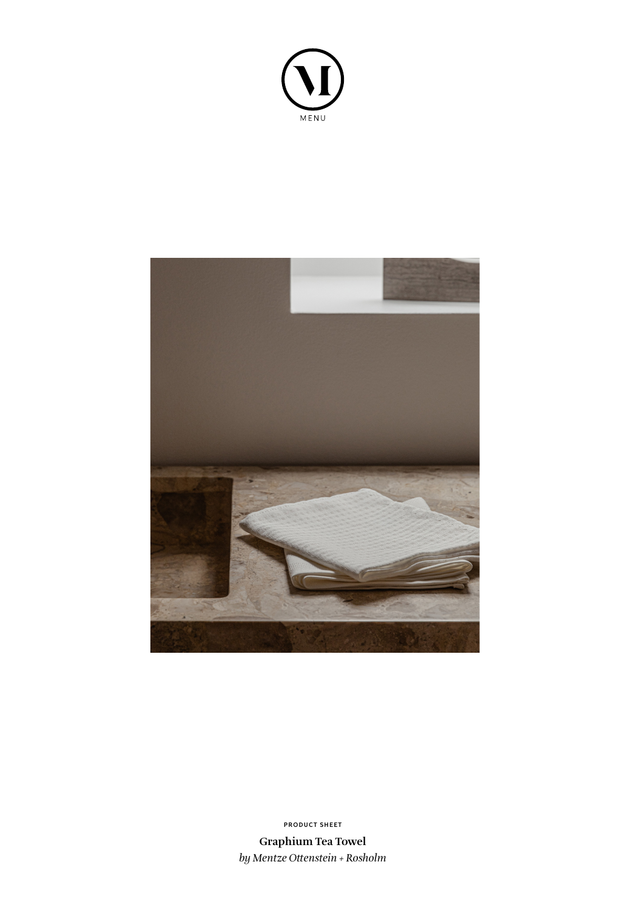



**PRODUCT SHEET**

**Graphium Tea Towel** *by Mentze Ottenstein + Rosholm*